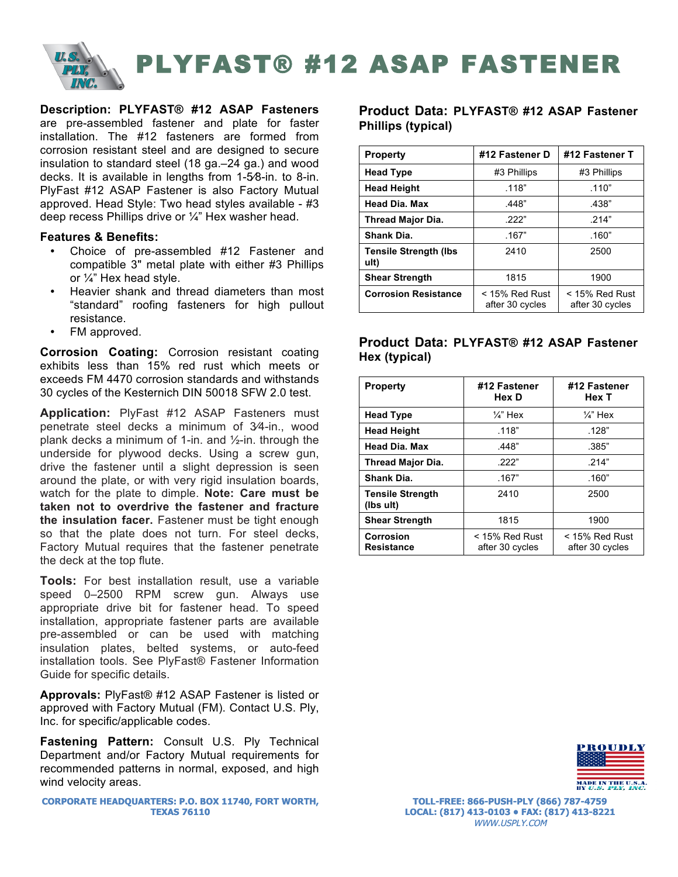

**Description: PLYFAST® #12 ASAP Fasteners**  are pre-assembled fastener and plate for faster installation. The #12 fasteners are formed from corrosion resistant steel and are designed to secure insulation to standard steel (18 ga.–24 ga.) and wood decks. It is available in lengths from 1-5⁄8-in. to 8-in. PlyFast #12 ASAP Fastener is also Factory Mutual approved. Head Style: Two head styles available - #3 deep recess Phillips drive or ¼" Hex washer head.

#### **Features & Benefits:**

- Choice of pre-assembled #12 Fastener and compatible 3" metal plate with either #3 Phillips or ¼" Hex head style.
- Heavier shank and thread diameters than most "standard" roofing fasteners for high pullout resistance.
- FM approved.

**Corrosion Coating:** Corrosion resistant coating exhibits less than 15% red rust which meets or exceeds FM 4470 corrosion standards and withstands 30 cycles of the Kesternich DIN 50018 SFW 2.0 test.

**Application:** PlyFast #12 ASAP Fasteners must penetrate steel decks a minimum of 3⁄4-in., wood plank decks a minimum of 1-in. and  $\frac{1}{2}$ -in. through the underside for plywood decks. Using a screw gun, drive the fastener until a slight depression is seen around the plate, or with very rigid insulation boards, watch for the plate to dimple. **Note: Care must be taken not to overdrive the fastener and fracture the insulation facer.** Fastener must be tight enough so that the plate does not turn. For steel decks, Factory Mutual requires that the fastener penetrate the deck at the top flute.

**Tools:** For best installation result, use a variable speed 0–2500 RPM screw gun. Always use appropriate drive bit for fastener head. To speed installation, appropriate fastener parts are available pre-assembled or can be used with matching insulation plates, belted systems, or auto-feed installation tools. See PlyFast® Fastener Information Guide for specific details.

**Approvals:** PlyFast® #12 ASAP Fastener is listed or approved with Factory Mutual (FM). Contact U.S. Ply, Inc. for specific/applicable codes.

**Fastening Pattern:** Consult U.S. Ply Technical Department and/or Factory Mutual requirements for recommended patterns in normal, exposed, and high wind velocity areas.

**CORPORATE HEADQUARTERS: P.O. BOX 11740, FORT WORTH, TEXAS 76110**

## **Product Data: PLYFAST® #12 ASAP Fastener Phillips (typical)**

| <b>Property</b>                       | #12 Fastener D                      | #12 Fastener T                      |  |  |
|---------------------------------------|-------------------------------------|-------------------------------------|--|--|
| <b>Head Type</b>                      | #3 Phillips                         | #3 Phillips                         |  |  |
| <b>Head Height</b>                    | .118"                               | .110"                               |  |  |
| <b>Head Dia. Max</b>                  | .448"                               | .438"                               |  |  |
| Thread Major Dia.                     | .222"                               | .214"                               |  |  |
| <b>Shank Dia.</b>                     | .167"                               | .160"                               |  |  |
| <b>Tensile Strength (Ibs)</b><br>ult) | 2410                                | 2500                                |  |  |
| <b>Shear Strength</b>                 | 1815                                | 1900                                |  |  |
| <b>Corrosion Resistance</b>           | $<$ 15% Red Rust<br>after 30 cycles | $<$ 15% Red Rust<br>after 30 cycles |  |  |

# **Product Data: PLYFAST® #12 ASAP Fastener Hex (typical)**

| <b>Property</b>                       | #12 Fastener<br>Hex D               | #12 Fastener<br>Hex T               |  |  |
|---------------------------------------|-------------------------------------|-------------------------------------|--|--|
| <b>Head Type</b>                      | $\frac{1}{4}$ " Hex                 | $\frac{1}{4}$ " Hex                 |  |  |
| <b>Head Height</b>                    | .118"                               | .128"                               |  |  |
| <b>Head Dia. Max</b>                  | .448"                               | .385"                               |  |  |
| <b>Thread Major Dia.</b>              | 222"                                | .214"                               |  |  |
| Shank Dia.                            | .167"                               | .160"                               |  |  |
| <b>Tensile Strength</b><br>(lbs ult)  | 2410                                | 2500                                |  |  |
| <b>Shear Strength</b>                 | 1815                                | 1900                                |  |  |
| <b>Corrosion</b><br><b>Resistance</b> | $<$ 15% Red Rust<br>after 30 cycles | $<$ 15% Red Rust<br>after 30 cycles |  |  |



**TOLL-FREE: 866-PUSH-PLY (866) 787-4759 LOCAL: (817) 413-0103 • FAX: (817) 413-8221** WWW.USPLY.COM